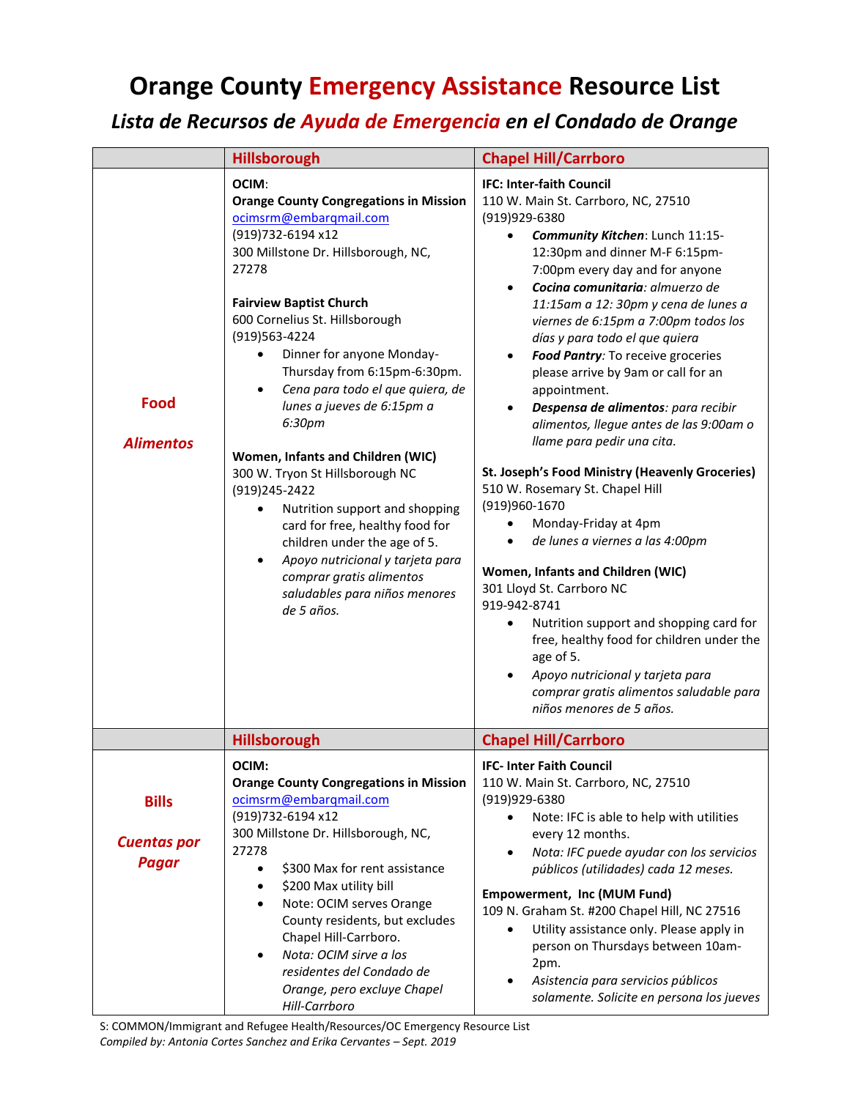## **Orange County Emergency Assistance Resource List**

## *Lista de Recursos de Ayuda de Emergencia en el Condado de Orange*

|                                                    | <b>Hillsborough</b>                                                                                                                                                                                                                                                                                                                                                                                                                                                                                                                                                                                                                                                                                                                                  | <b>Chapel Hill/Carrboro</b>                                                                                                                                                                                                                                                                                                                                                                                                                                                                                                                                                                                                                                                                                                                                                                                                                                                                                                                                                                                                                                    |
|----------------------------------------------------|------------------------------------------------------------------------------------------------------------------------------------------------------------------------------------------------------------------------------------------------------------------------------------------------------------------------------------------------------------------------------------------------------------------------------------------------------------------------------------------------------------------------------------------------------------------------------------------------------------------------------------------------------------------------------------------------------------------------------------------------------|----------------------------------------------------------------------------------------------------------------------------------------------------------------------------------------------------------------------------------------------------------------------------------------------------------------------------------------------------------------------------------------------------------------------------------------------------------------------------------------------------------------------------------------------------------------------------------------------------------------------------------------------------------------------------------------------------------------------------------------------------------------------------------------------------------------------------------------------------------------------------------------------------------------------------------------------------------------------------------------------------------------------------------------------------------------|
| <b>Food</b><br><b>Alimentos</b>                    | OCIM:<br><b>Orange County Congregations in Mission</b><br>ocimsrm@embarqmail.com<br>(919)732-6194 x12<br>300 Millstone Dr. Hillsborough, NC,<br>27278<br><b>Fairview Baptist Church</b><br>600 Cornelius St. Hillsborough<br>(919)563-4224<br>Dinner for anyone Monday-<br>$\bullet$<br>Thursday from 6:15pm-6:30pm.<br>Cena para todo el que quiera, de<br>$\bullet$<br>lunes a jueves de 6:15pm a<br>6:30pm<br>Women, Infants and Children (WIC)<br>300 W. Tryon St Hillsborough NC<br>(919)245-2422<br>Nutrition support and shopping<br>$\bullet$<br>card for free, healthy food for<br>children under the age of 5.<br>Apoyo nutricional y tarjeta para<br>$\bullet$<br>comprar gratis alimentos<br>saludables para niños menores<br>de 5 años. | <b>IFC: Inter-faith Council</b><br>110 W. Main St. Carrboro, NC, 27510<br>(919)929-6380<br>Community Kitchen: Lunch 11:15-<br>$\bullet$<br>12:30pm and dinner M-F 6:15pm-<br>7:00pm every day and for anyone<br>Cocina comunitaria: almuerzo de<br>11:15am a 12: 30pm y cena de lunes a<br>viernes de 6:15pm a 7:00pm todos los<br>días y para todo el que quiera<br>Food Pantry: To receive groceries<br>please arrive by 9am or call for an<br>appointment.<br>Despensa de alimentos: para recibir<br>alimentos, llegue antes de las 9:00am o<br>llame para pedir una cita.<br>St. Joseph's Food Ministry (Heavenly Groceries)<br>510 W. Rosemary St. Chapel Hill<br>(919)960-1670<br>Monday-Friday at 4pm<br>de lunes a viernes a las 4:00pm<br>$\bullet$<br>Women, Infants and Children (WIC)<br>301 Lloyd St. Carrboro NC<br>919-942-8741<br>Nutrition support and shopping card for<br>free, healthy food for children under the<br>age of 5.<br>Apoyo nutricional y tarjeta para<br>comprar gratis alimentos saludable para<br>niños menores de 5 años. |
|                                                    | <b>Hillsborough</b>                                                                                                                                                                                                                                                                                                                                                                                                                                                                                                                                                                                                                                                                                                                                  | <b>Chapel Hill/Carrboro</b>                                                                                                                                                                                                                                                                                                                                                                                                                                                                                                                                                                                                                                                                                                                                                                                                                                                                                                                                                                                                                                    |
| <b>Bills</b><br><b>Cuentas por</b><br><b>Pagar</b> | OCIM:<br><b>Orange County Congregations in Mission</b><br>ocimsrm@embarqmail.com<br>(919)732-6194 x12<br>300 Millstone Dr. Hillsborough, NC,<br>27278<br>\$300 Max for rent assistance<br>$\bullet$<br>\$200 Max utility bill<br>$\bullet$<br>Note: OCIM serves Orange<br>$\bullet$<br>County residents, but excludes<br>Chapel Hill-Carrboro.<br>Nota: OCIM sirve a los<br>$\bullet$<br>residentes del Condado de<br>Orange, pero excluye Chapel<br>Hill-Carrboro                                                                                                                                                                                                                                                                                   | <b>IFC-Inter Faith Council</b><br>110 W. Main St. Carrboro, NC, 27510<br>(919)929-6380<br>Note: IFC is able to help with utilities<br>every 12 months.<br>Nota: IFC puede ayudar con los servicios<br>$\bullet$<br>públicos (utilidades) cada 12 meses.<br>Empowerment, Inc (MUM Fund)<br>109 N. Graham St. #200 Chapel Hill, NC 27516<br>Utility assistance only. Please apply in<br>$\bullet$<br>person on Thursdays between 10am-<br>2pm.<br>Asistencia para servicios públicos<br>solamente. Solicite en persona los jueves                                                                                                                                                                                                                                                                                                                                                                                                                                                                                                                                |

S: COMMON/Immigrant and Refugee Health/Resources/OC Emergency Resource List *Compiled by: Antonia Cortes Sanchez and Erika Cervantes – Sept. 2019*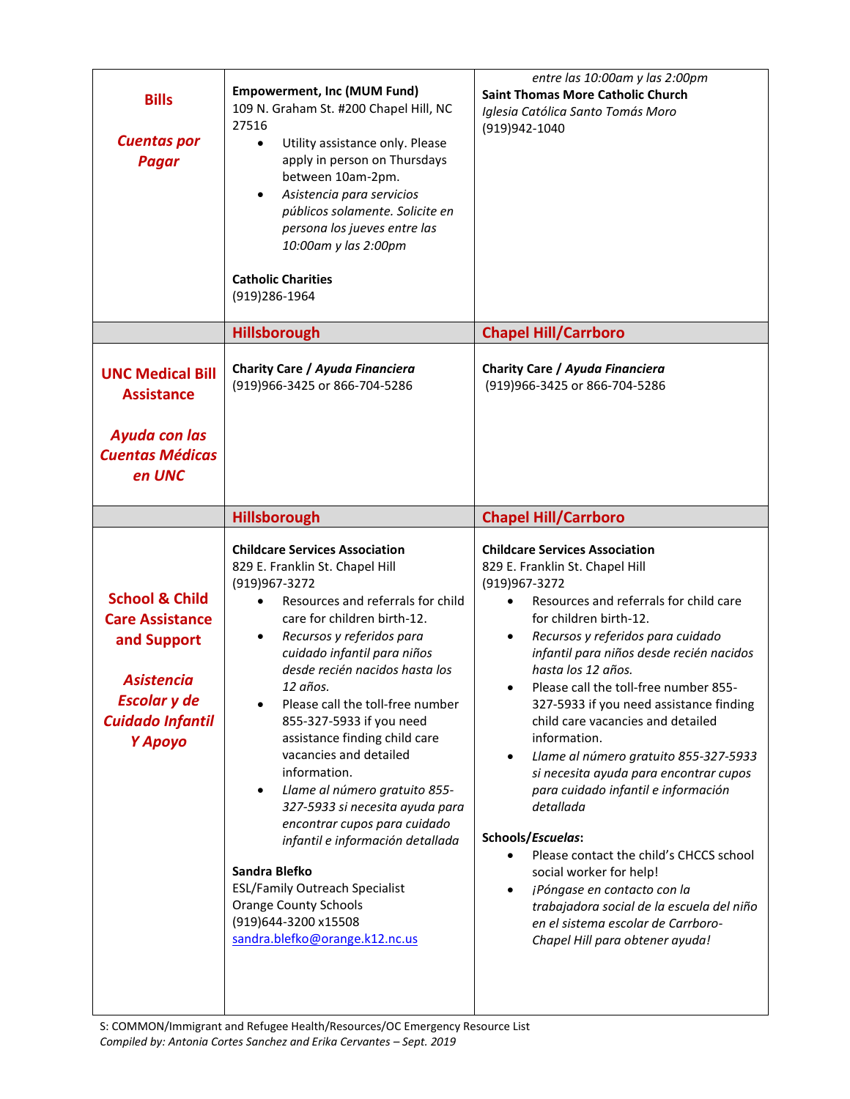| <b>Bills</b><br><b>Cuentas por</b><br><b>Pagar</b>                                                                                                   | <b>Empowerment, Inc (MUM Fund)</b><br>109 N. Graham St. #200 Chapel Hill, NC<br>27516<br>Utility assistance only. Please<br>$\bullet$<br>apply in person on Thursdays<br>between 10am-2pm.<br>Asistencia para servicios<br>$\bullet$<br>públicos solamente. Solicite en<br>persona los jueves entre las<br>10:00am y las 2:00pm<br><b>Catholic Charities</b><br>(919) 286-1964                                                                                                                                                                                                                                                                                                                                                                | entre las 10:00am y las 2:00pm<br><b>Saint Thomas More Catholic Church</b><br>Iglesia Católica Santo Tomás Moro<br>(919)942-1040                                                                                                                                                                                                                                                                                                                                                                                                                                                                                                                                                                                                                                                                                                         |
|------------------------------------------------------------------------------------------------------------------------------------------------------|-----------------------------------------------------------------------------------------------------------------------------------------------------------------------------------------------------------------------------------------------------------------------------------------------------------------------------------------------------------------------------------------------------------------------------------------------------------------------------------------------------------------------------------------------------------------------------------------------------------------------------------------------------------------------------------------------------------------------------------------------|------------------------------------------------------------------------------------------------------------------------------------------------------------------------------------------------------------------------------------------------------------------------------------------------------------------------------------------------------------------------------------------------------------------------------------------------------------------------------------------------------------------------------------------------------------------------------------------------------------------------------------------------------------------------------------------------------------------------------------------------------------------------------------------------------------------------------------------|
|                                                                                                                                                      | <b>Hillsborough</b>                                                                                                                                                                                                                                                                                                                                                                                                                                                                                                                                                                                                                                                                                                                           | <b>Chapel Hill/Carrboro</b>                                                                                                                                                                                                                                                                                                                                                                                                                                                                                                                                                                                                                                                                                                                                                                                                              |
| <b>UNC Medical Bill</b><br><b>Assistance</b><br><b>Ayuda con las</b>                                                                                 | Charity Care / Ayuda Financiera<br>(919)966-3425 or 866-704-5286                                                                                                                                                                                                                                                                                                                                                                                                                                                                                                                                                                                                                                                                              | Charity Care / Ayuda Financiera<br>(919)966-3425 or 866-704-5286                                                                                                                                                                                                                                                                                                                                                                                                                                                                                                                                                                                                                                                                                                                                                                         |
| <b>Cuentas Médicas</b><br>en UNC                                                                                                                     |                                                                                                                                                                                                                                                                                                                                                                                                                                                                                                                                                                                                                                                                                                                                               |                                                                                                                                                                                                                                                                                                                                                                                                                                                                                                                                                                                                                                                                                                                                                                                                                                          |
|                                                                                                                                                      | Hillsborough                                                                                                                                                                                                                                                                                                                                                                                                                                                                                                                                                                                                                                                                                                                                  | <b>Chapel Hill/Carrboro</b>                                                                                                                                                                                                                                                                                                                                                                                                                                                                                                                                                                                                                                                                                                                                                                                                              |
| <b>School &amp; Child</b><br><b>Care Assistance</b><br>and Support<br><b>Asistencia</b><br><b>Escolar</b> y de<br><b>Cuidado Infantil</b><br>Y Apoyo | <b>Childcare Services Association</b><br>829 E. Franklin St. Chapel Hill<br>(919)967-3272<br>Resources and referrals for child<br>care for children birth-12.<br>Recursos y referidos para<br>٠<br>cuidado infantil para niños<br>desde recién nacidos hasta los<br>12 años.<br>Please call the toll-free number<br>$\bullet$<br>855-327-5933 if you need<br>assistance finding child care<br>vacancies and detailed<br>information.<br>Llame al número gratuito 855-<br>$\bullet$<br>327-5933 si necesita ayuda para<br>encontrar cupos para cuidado<br>infantil e información detallada<br>Sandra Blefko<br><b>ESL/Family Outreach Specialist</b><br><b>Orange County Schools</b><br>(919)644-3200 x15508<br>sandra.blefko@orange.k12.nc.us | <b>Childcare Services Association</b><br>829 E. Franklin St. Chapel Hill<br>(919)967-3272<br>Resources and referrals for child care<br>for children birth-12.<br>Recursos y referidos para cuidado<br>$\bullet$<br>infantil para niños desde recién nacidos<br>hasta los 12 años.<br>Please call the toll-free number 855-<br>327-5933 if you need assistance finding<br>child care vacancies and detailed<br>information.<br>Llame al número gratuito 855-327-5933<br>٠<br>si necesita ayuda para encontrar cupos<br>para cuidado infantil e información<br>detallada<br>Schools/Escuelas:<br>Please contact the child's CHCCS school<br>$\bullet$<br>social worker for help!<br>¡Póngase en contacto con la<br>٠<br>trabajadora social de la escuela del niño<br>en el sistema escolar de Carrboro-<br>Chapel Hill para obtener ayuda! |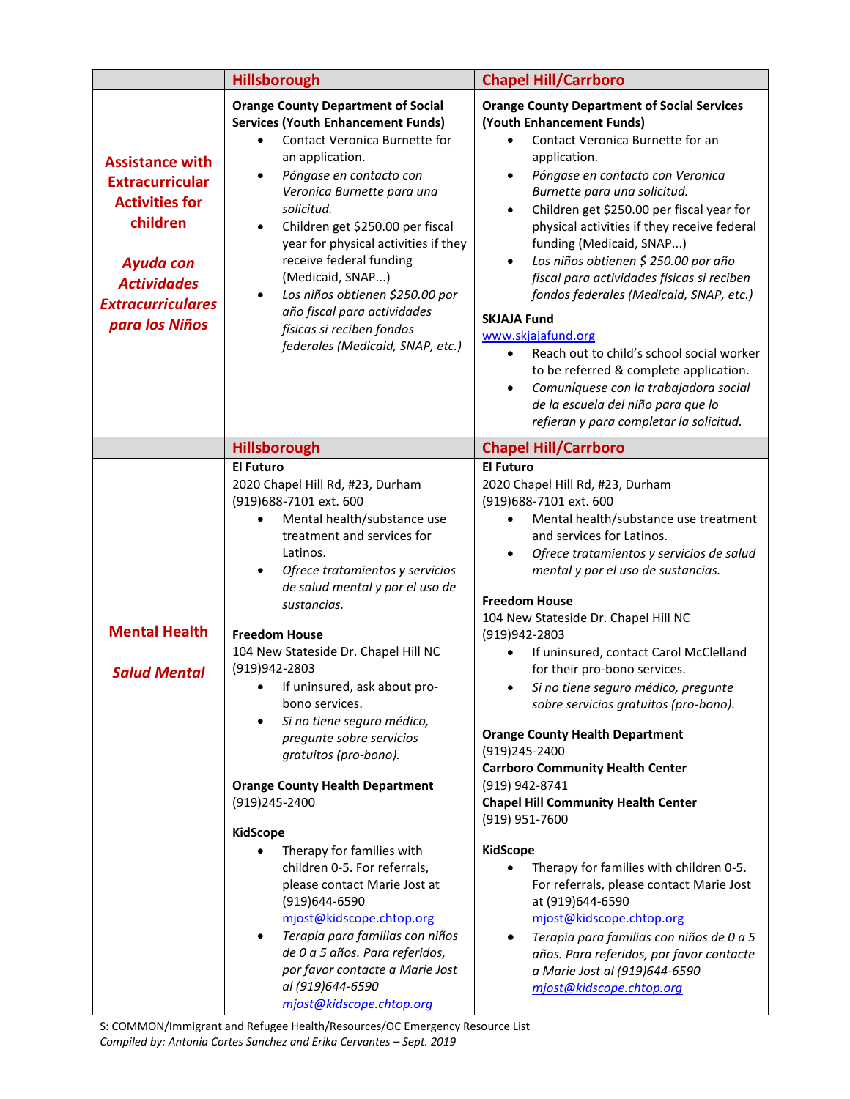|                                                                                                                                                                        | <b>Hillsborough</b>                                                                                                                                                                                                                                                                                                                                                                                                                                                                                                                             | <b>Chapel Hill/Carrboro</b>                                                                                                                                                                                                                                                                                                                                                                                                                                                                                                                                                                                                                                                                                                                                                                    |
|------------------------------------------------------------------------------------------------------------------------------------------------------------------------|-------------------------------------------------------------------------------------------------------------------------------------------------------------------------------------------------------------------------------------------------------------------------------------------------------------------------------------------------------------------------------------------------------------------------------------------------------------------------------------------------------------------------------------------------|------------------------------------------------------------------------------------------------------------------------------------------------------------------------------------------------------------------------------------------------------------------------------------------------------------------------------------------------------------------------------------------------------------------------------------------------------------------------------------------------------------------------------------------------------------------------------------------------------------------------------------------------------------------------------------------------------------------------------------------------------------------------------------------------|
| <b>Assistance with</b><br><b>Extracurricular</b><br><b>Activities for</b><br>children<br>Ayuda con<br><b>Actividades</b><br><b>Extracurriculares</b><br>para los Niños | <b>Orange County Department of Social</b><br><b>Services (Youth Enhancement Funds)</b><br>Contact Veronica Burnette for<br>an application.<br>Póngase en contacto con<br>Veronica Burnette para una<br>solicitud.<br>Children get \$250.00 per fiscal<br>$\bullet$<br>year for physical activities if they<br>receive federal funding<br>(Medicaid, SNAP)<br>Los niños obtienen \$250.00 por<br>$\bullet$<br>año fiscal para actividades<br>físicas si reciben fondos<br>federales (Medicaid, SNAP, etc.)                                       | <b>Orange County Department of Social Services</b><br>(Youth Enhancement Funds)<br>Contact Veronica Burnette for an<br>application.<br>Póngase en contacto con Veronica<br>$\bullet$<br>Burnette para una solicitud.<br>Children get \$250.00 per fiscal year for<br>$\bullet$<br>physical activities if they receive federal<br>funding (Medicaid, SNAP)<br>Los niños obtienen \$ 250.00 por año<br>$\bullet$<br>fiscal para actividades físicas si reciben<br>fondos federales (Medicaid, SNAP, etc.)<br><b>SKJAJA Fund</b><br>www.skjajafund.org<br>Reach out to child's school social worker<br>$\bullet$<br>to be referred & complete application.<br>Comuníquese con la trabajadora social<br>$\bullet$<br>de la escuela del niño para que lo<br>refieran y para completar la solicitud. |
|                                                                                                                                                                        | <b>Hillsborough</b>                                                                                                                                                                                                                                                                                                                                                                                                                                                                                                                             | <b>Chapel Hill/Carrboro</b>                                                                                                                                                                                                                                                                                                                                                                                                                                                                                                                                                                                                                                                                                                                                                                    |
| <b>Mental Health</b><br><b>Salud Mental</b>                                                                                                                            | <b>El Futuro</b><br>2020 Chapel Hill Rd, #23, Durham<br>(919)688-7101 ext. 600<br>Mental health/substance use<br>treatment and services for<br>Latinos.<br>Ofrece tratamientos y servicios<br>٠<br>de salud mental y por el uso de<br>sustancias.<br><b>Freedom House</b><br>104 New Stateside Dr. Chapel Hill NC<br>(919)942-2803<br>If uninsured, ask about pro-<br>bono services.<br>Si no tiene seguro médico,<br>$\bullet$<br>pregunte sobre servicios<br>gratuitos (pro-bono).<br><b>Orange County Health Department</b><br>(919)245-2400 | <b>El Futuro</b><br>2020 Chapel Hill Rd, #23, Durham<br>(919)688-7101 ext. 600<br>Mental health/substance use treatment<br>and services for Latinos.<br>Ofrece tratamientos y servicios de salud<br>٠<br>mental y por el uso de sustancias.<br><b>Freedom House</b><br>104 New Stateside Dr. Chapel Hill NC<br>(919)942-2803<br>If uninsured, contact Carol McClelland<br>for their pro-bono services.<br>Si no tiene seguro médico, pregunte<br>sobre servicios gratuitos (pro-bono).<br><b>Orange County Health Department</b><br>(919)245-2400<br><b>Carrboro Community Health Center</b><br>(919) 942-8741<br><b>Chapel Hill Community Health Center</b><br>(919) 951-7600                                                                                                                 |
|                                                                                                                                                                        | <b>KidScope</b><br>Therapy for families with<br>children 0-5. For referrals,<br>please contact Marie Jost at<br>(919)644-6590<br>mjost@kidscope.chtop.org<br>Terapia para familias con niños<br>$\bullet$<br>de 0 a 5 años. Para referidos,<br>por favor contacte a Marie Jost<br>al (919)644-6590<br>mjost@kidscope.chtop.org                                                                                                                                                                                                                  | <b>KidScope</b><br>Therapy for families with children 0-5.<br>For referrals, please contact Marie Jost<br>at (919)644-6590<br>mjost@kidscope.chtop.org<br>Terapia para familias con niños de 0 a 5<br>٠<br>años. Para referidos, por favor contacte<br>a Marie Jost al (919)644-6590<br>mjost@kidscope.chtop.org                                                                                                                                                                                                                                                                                                                                                                                                                                                                               |